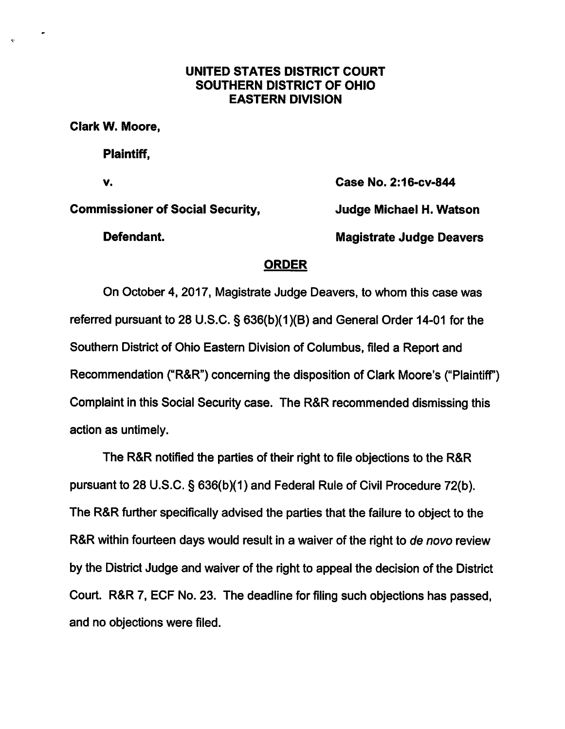## UNITED STATES DISTRICT COURT SOUTHERN DISTRICT OF OHIO EASTERN DIVISION

Clark W. Moore,

Plaintiff,

V. Case No. 2:16-cv-844

Commissioner of Social Security, Judge Michaei H. Watson

Defendant. Magistrate Judge Deavers

## **ORDER**

On October 4, 2017, Magistrate Judge Deavers, to whom this case was referred pursuant to 28 U.S.C. § 636(b)(1)(B) and General Order 14-01 for the Southern District of Ohio Eastern Division of Columbus, filed a Report and Recommendation ("R&R") concerning the disposition of Clark Moore's ("Plaintiff) Complaint in this Social Security case. The R&R recommended dismissing this action as untimely.

The R&R notified the parties of their right to file objections to the R&R pursuant to 28 U.S.C. § 636(b)(1) and Federal Rule of Civil Procedure 72(b). The R&R further specifically advised the parties that the failure to object to the R&R within fourteen days would result in a waiver of the right to de novo review by the District Judge and waiver of the right to appeal the decision of the District Court. R&R 7, ECF No. 23. The deadline for filing such objections has passed, and no objections were filed.